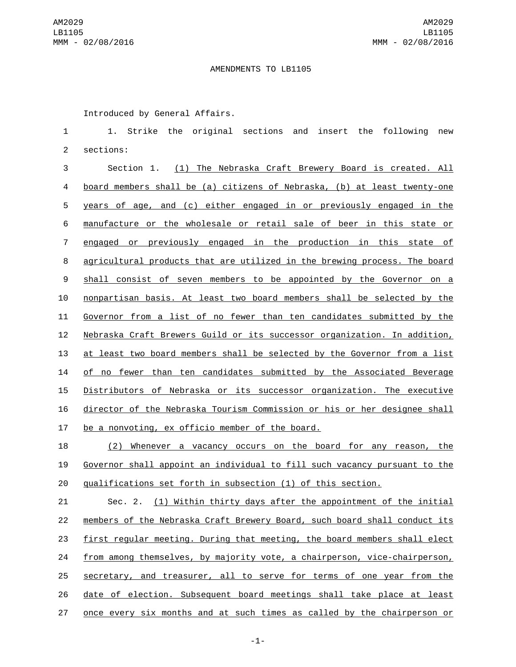## AMENDMENTS TO LB1105

Introduced by General Affairs.

 1. Strike the original sections and insert the following new 2 sections:

 Section 1. (1) The Nebraska Craft Brewery Board is created. All board members shall be (a) citizens of Nebraska, (b) at least twenty-one years of age, and (c) either engaged in or previously engaged in the manufacture or the wholesale or retail sale of beer in this state or engaged or previously engaged in the production in this state of agricultural products that are utilized in the brewing process. The board shall consist of seven members to be appointed by the Governor on a nonpartisan basis. At least two board members shall be selected by the Governor from a list of no fewer than ten candidates submitted by the Nebraska Craft Brewers Guild or its successor organization. In addition, at least two board members shall be selected by the Governor from a list of no fewer than ten candidates submitted by the Associated Beverage Distributors of Nebraska or its successor organization. The executive director of the Nebraska Tourism Commission or his or her designee shall 17 be a nonvoting, ex officio member of the board.

 (2) Whenever a vacancy occurs on the board for any reason, the Governor shall appoint an individual to fill such vacancy pursuant to the qualifications set forth in subsection (1) of this section.

 Sec. 2. (1) Within thirty days after the appointment of the initial members of the Nebraska Craft Brewery Board, such board shall conduct its first regular meeting. During that meeting, the board members shall elect from among themselves, by majority vote, a chairperson, vice-chairperson, secretary, and treasurer, all to serve for terms of one year from the date of election. Subsequent board meetings shall take place at least once every six months and at such times as called by the chairperson or

-1-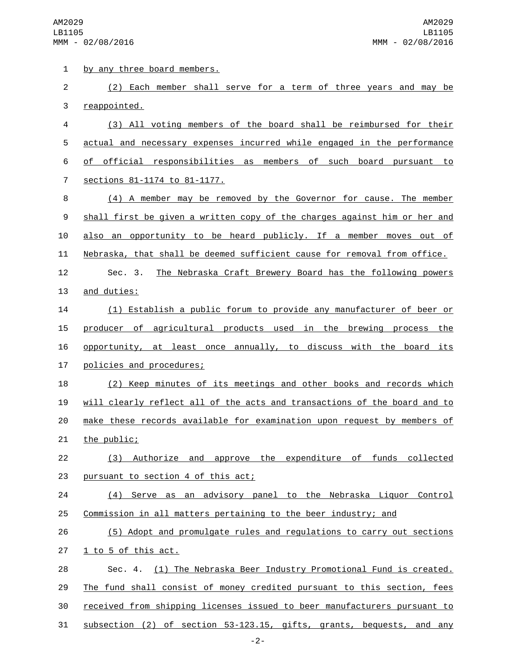1 by any three board members.

2 (2) Each member shall serve for a term of three years and may be 3 reappointed.

 (3) All voting members of the board shall be reimbursed for their actual and necessary expenses incurred while engaged in the performance of official responsibilities as members of such board pursuant to 7 sections 81-1174 to 81-1177.

 (4) A member may be removed by the Governor for cause. The member shall first be given a written copy of the charges against him or her and also an opportunity to be heard publicly. If a member moves out of Nebraska, that shall be deemed sufficient cause for removal from office.

12 Sec. 3. The Nebraska Craft Brewery Board has the following powers 13 and duties:

 (1) Establish a public forum to provide any manufacturer of beer or producer of agricultural products used in the brewing process the opportunity, at least once annually, to discuss with the board its 17 policies and procedures;

 (2) Keep minutes of its meetings and other books and records which will clearly reflect all of the acts and transactions of the board and to make these records available for examination upon request by members of 21 the public;

22 (3) Authorize and approve the expenditure of funds collected 23 pursuant to section 4 of this act;

24 (4) Serve as an advisory panel to the Nebraska Liquor Control 25 Commission in all matters pertaining to the beer industry; and

26 (5) Adopt and promulgate rules and regulations to carry out sections  $27 \quad \underline{1}$  to 5 of this act.

 Sec. 4. (1) The Nebraska Beer Industry Promotional Fund is created. The fund shall consist of money credited pursuant to this section, fees received from shipping licenses issued to beer manufacturers pursuant to subsection (2) of section 53-123.15, gifts, grants, bequests, and any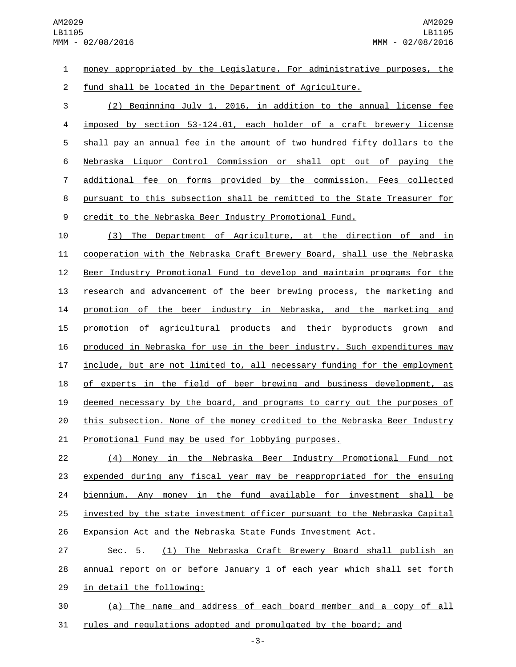money appropriated by the Legislature. For administrative purposes, the fund shall be located in the Department of Agriculture. (2) Beginning July 1, 2016, in addition to the annual license fee imposed by section 53-124.01, each holder of a craft brewery license shall pay an annual fee in the amount of two hundred fifty dollars to the Nebraska Liquor Control Commission or shall opt out of paying the additional fee on forms provided by the commission. Fees collected pursuant to this subsection shall be remitted to the State Treasurer for credit to the Nebraska Beer Industry Promotional Fund.

 (3) The Department of Agriculture, at the direction of and in cooperation with the Nebraska Craft Brewery Board, shall use the Nebraska Beer Industry Promotional Fund to develop and maintain programs for the research and advancement of the beer brewing process, the marketing and promotion of the beer industry in Nebraska, and the marketing and promotion of agricultural products and their byproducts grown and produced in Nebraska for use in the beer industry. Such expenditures may include, but are not limited to, all necessary funding for the employment 18 of experts in the field of beer brewing and business development, as deemed necessary by the board, and programs to carry out the purposes of 20 this subsection. None of the money credited to the Nebraska Beer Industry Promotional Fund may be used for lobbying purposes.

 (4) Money in the Nebraska Beer Industry Promotional Fund not expended during any fiscal year may be reappropriated for the ensuing biennium. Any money in the fund available for investment shall be invested by the state investment officer pursuant to the Nebraska Capital 26 Expansion Act and the Nebraska State Funds Investment Act.

 Sec. 5. (1) The Nebraska Craft Brewery Board shall publish an annual report on or before January 1 of each year which shall set forth 29 in detail the following:

 (a) The name and address of each board member and a copy of all rules and regulations adopted and promulgated by the board; and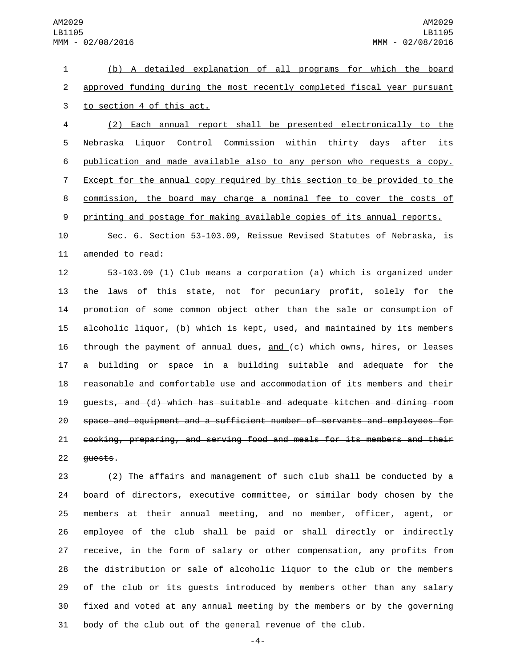(b) A detailed explanation of all programs for which the board approved funding during the most recently completed fiscal year pursuant 3 to section 4 of this act.

 (2) Each annual report shall be presented electronically to the Nebraska Liquor Control Commission within thirty days after its publication and made available also to any person who requests a copy. Except for the annual copy required by this section to be provided to the commission, the board may charge a nominal fee to cover the costs of printing and postage for making available copies of its annual reports.

 Sec. 6. Section 53-103.09, Reissue Revised Statutes of Nebraska, is 11 amended to read:

 53-103.09 (1) Club means a corporation (a) which is organized under the laws of this state, not for pecuniary profit, solely for the promotion of some common object other than the sale or consumption of alcoholic liquor, (b) which is kept, used, and maintained by its members through the payment of annual dues, and (c) which owns, hires, or leases a building or space in a building suitable and adequate for the reasonable and comfortable use and accommodation of its members and their guests, and (d) which has suitable and adequate kitchen and dining room space and equipment and a sufficient number of servants and employees for cooking, preparing, and serving food and meals for its members and their 22 <del>quests</del>.

 (2) The affairs and management of such club shall be conducted by a board of directors, executive committee, or similar body chosen by the members at their annual meeting, and no member, officer, agent, or employee of the club shall be paid or shall directly or indirectly receive, in the form of salary or other compensation, any profits from the distribution or sale of alcoholic liquor to the club or the members of the club or its guests introduced by members other than any salary fixed and voted at any annual meeting by the members or by the governing body of the club out of the general revenue of the club.

-4-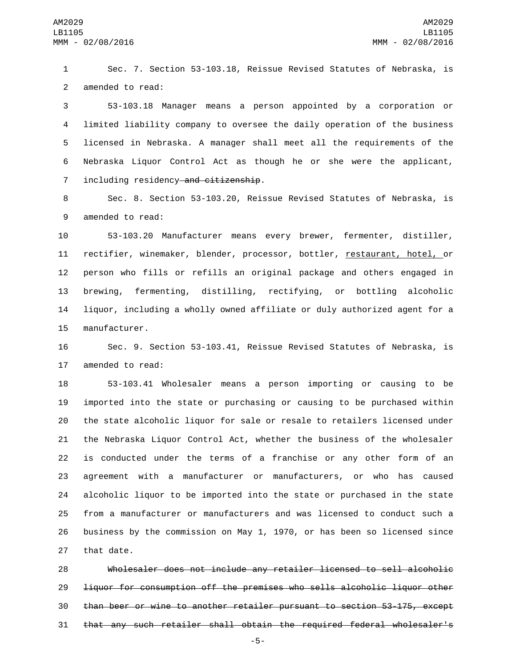Sec. 7. Section 53-103.18, Reissue Revised Statutes of Nebraska, is 2 amended to read:

 53-103.18 Manager means a person appointed by a corporation or limited liability company to oversee the daily operation of the business licensed in Nebraska. A manager shall meet all the requirements of the Nebraska Liquor Control Act as though he or she were the applicant, 7 including residency and citizenship.

 Sec. 8. Section 53-103.20, Reissue Revised Statutes of Nebraska, is 9 amended to read:

 53-103.20 Manufacturer means every brewer, fermenter, distiller, 11 rectifier, winemaker, blender, processor, bottler, restaurant, hotel, or person who fills or refills an original package and others engaged in brewing, fermenting, distilling, rectifying, or bottling alcoholic liquor, including a wholly owned affiliate or duly authorized agent for a 15 manufacturer.

 Sec. 9. Section 53-103.41, Reissue Revised Statutes of Nebraska, is 17 amended to read:

 53-103.41 Wholesaler means a person importing or causing to be imported into the state or purchasing or causing to be purchased within the state alcoholic liquor for sale or resale to retailers licensed under the Nebraska Liquor Control Act, whether the business of the wholesaler is conducted under the terms of a franchise or any other form of an agreement with a manufacturer or manufacturers, or who has caused alcoholic liquor to be imported into the state or purchased in the state from a manufacturer or manufacturers and was licensed to conduct such a business by the commission on May 1, 1970, or has been so licensed since 27 that date.

 Wholesaler does not include any retailer licensed to sell alcoholic liquor for consumption off the premises who sells alcoholic liquor other than beer or wine to another retailer pursuant to section 53-175, except that any such retailer shall obtain the required federal wholesaler's

-5-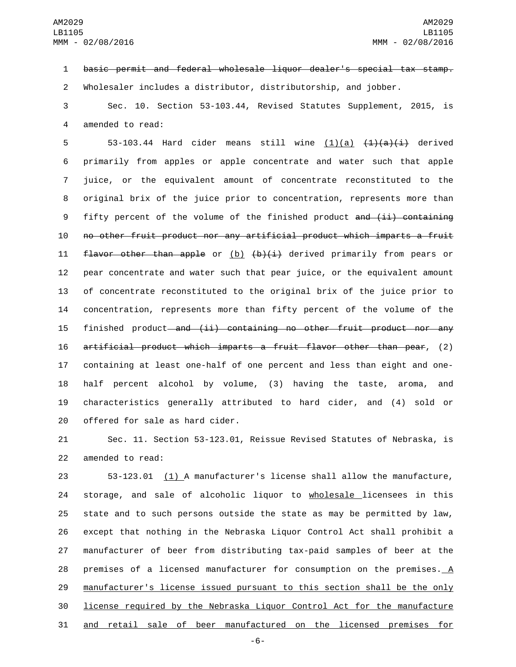basic permit and federal wholesale liquor dealer's special tax stamp.

Wholesaler includes a distributor, distributorship, and jobber.

 Sec. 10. Section 53-103.44, Revised Statutes Supplement, 2015, is 4 amended to read:

 $53-103.44$  Hard cider means still wine  $(1)(a)$   $(1)(a)(i)$  derived primarily from apples or apple concentrate and water such that apple juice, or the equivalent amount of concentrate reconstituted to the original brix of the juice prior to concentration, represents more than 9 fifty percent of the volume of the finished product and (ii) containing no other fruit product nor any artificial product which imparts a fruit **flavor other than apple** or  $(b)$   $(b)$   $(i)$  derived primarily from pears or pear concentrate and water such that pear juice, or the equivalent amount of concentrate reconstituted to the original brix of the juice prior to concentration, represents more than fifty percent of the volume of the 15 finished product and (ii) containing no other fruit product nor any artificial product which imparts a fruit flavor other than pear, (2) containing at least one-half of one percent and less than eight and one- half percent alcohol by volume, (3) having the taste, aroma, and characteristics generally attributed to hard cider, and (4) sold or 20 offered for sale as hard cider.

 Sec. 11. Section 53-123.01, Reissue Revised Statutes of Nebraska, is 22 amended to read:

 53-123.01 (1) A manufacturer's license shall allow the manufacture, 24 storage, and sale of alcoholic liquor to wholesale licensees in this state and to such persons outside the state as may be permitted by law, except that nothing in the Nebraska Liquor Control Act shall prohibit a manufacturer of beer from distributing tax-paid samples of beer at the premises of a licensed manufacturer for consumption on the premises. A manufacturer's license issued pursuant to this section shall be the only license required by the Nebraska Liquor Control Act for the manufacture and retail sale of beer manufactured on the licensed premises for

-6-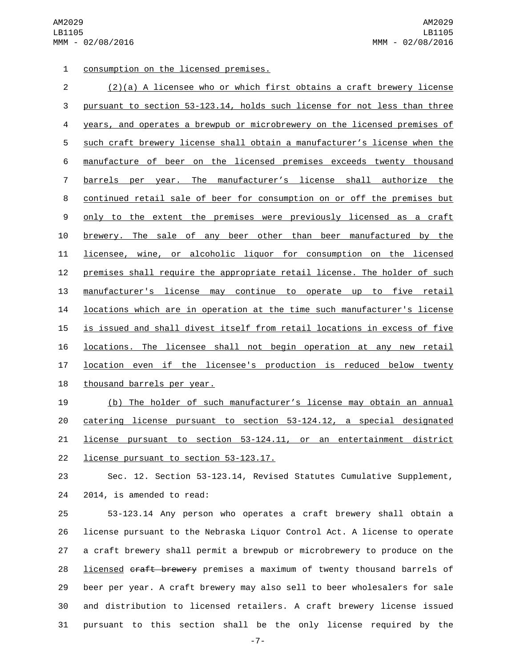1 consumption on the licensed premises.

| $\overline{2}$ | $(2)(a)$ A licensee who or which first obtains a craft brewery license    |
|----------------|---------------------------------------------------------------------------|
| 3              | pursuant to section 53-123.14, holds such license for not less than three |
| 4              | years, and operates a brewpub or microbrewery on the licensed premises of |
| 5              | such craft brewery license shall obtain a manufacturer's license when the |
| 6              | manufacture of beer on the licensed premises exceeds twenty thousand      |
| 7              | barrels per year. The manufacturer's license shall authorize the          |
| 8              | continued retail sale of beer for consumption on or off the premises but  |
| 9              | only to the extent the premises were previously licensed as a craft       |
| 10             | brewery. The sale of any beer other than beer manufactured by the         |
| 11             | licensee, wine, or alcoholic liguor for consumption on the licensed       |
| 12             | premises shall require the appropriate retail license. The holder of such |
| 13             | manufacturer's license may continue to operate up to five retail          |
| 14             | locations which are in operation at the time such manufacturer's license  |
| 15             | is issued and shall divest itself from retail locations in excess of five |
| 16             | locations. The licensee shall not begin operation at any new retail       |
| 17             | location even if the licensee's production is reduced below twenty        |
| 18             | thousand barrels per year.                                                |

 (b) The holder of such manufacturer's license may obtain an annual catering license pursuant to section 53-124.12, a special designated license pursuant to section 53-124.11, or an entertainment district 22 license pursuant to section 53-123.17.

 Sec. 12. Section 53-123.14, Revised Statutes Cumulative Supplement, 24 2014, is amended to read:

 53-123.14 Any person who operates a craft brewery shall obtain a license pursuant to the Nebraska Liquor Control Act. A license to operate a craft brewery shall permit a brewpub or microbrewery to produce on the 28 licensed craft brewery premises a maximum of twenty thousand barrels of beer per year. A craft brewery may also sell to beer wholesalers for sale and distribution to licensed retailers. A craft brewery license issued pursuant to this section shall be the only license required by the

-7-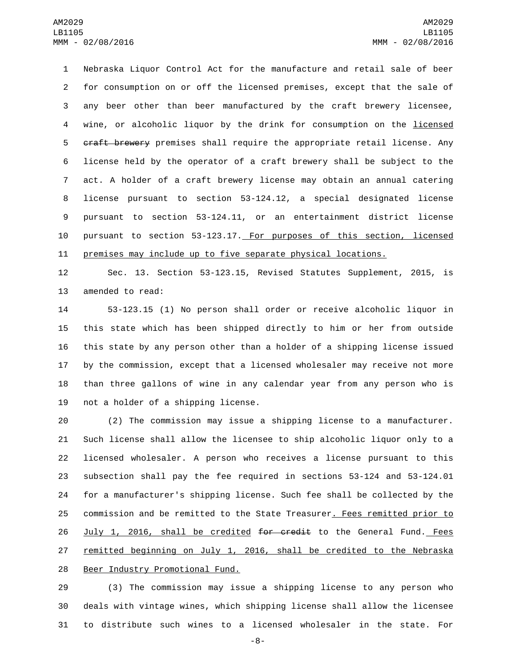Nebraska Liquor Control Act for the manufacture and retail sale of beer for consumption on or off the licensed premises, except that the sale of any beer other than beer manufactured by the craft brewery licensee, wine, or alcoholic liquor by the drink for consumption on the licensed 5 craft brewery premises shall require the appropriate retail license. Any license held by the operator of a craft brewery shall be subject to the act. A holder of a craft brewery license may obtain an annual catering license pursuant to section 53-124.12, a special designated license pursuant to section 53-124.11, or an entertainment district license pursuant to section 53-123.17. For purposes of this section, licensed premises may include up to five separate physical locations.

 Sec. 13. Section 53-123.15, Revised Statutes Supplement, 2015, is 13 amended to read:

 53-123.15 (1) No person shall order or receive alcoholic liquor in this state which has been shipped directly to him or her from outside this state by any person other than a holder of a shipping license issued by the commission, except that a licensed wholesaler may receive not more than three gallons of wine in any calendar year from any person who is 19 not a holder of a shipping license.

 (2) The commission may issue a shipping license to a manufacturer. Such license shall allow the licensee to ship alcoholic liquor only to a licensed wholesaler. A person who receives a license pursuant to this subsection shall pay the fee required in sections 53-124 and 53-124.01 for a manufacturer's shipping license. Such fee shall be collected by the commission and be remitted to the State Treasurer. Fees remitted prior to 26 July 1, 2016, shall be credited for credit to the General Fund. Fees remitted beginning on July 1, 2016, shall be credited to the Nebraska 28 Beer Industry Promotional Fund.

 (3) The commission may issue a shipping license to any person who deals with vintage wines, which shipping license shall allow the licensee to distribute such wines to a licensed wholesaler in the state. For

-8-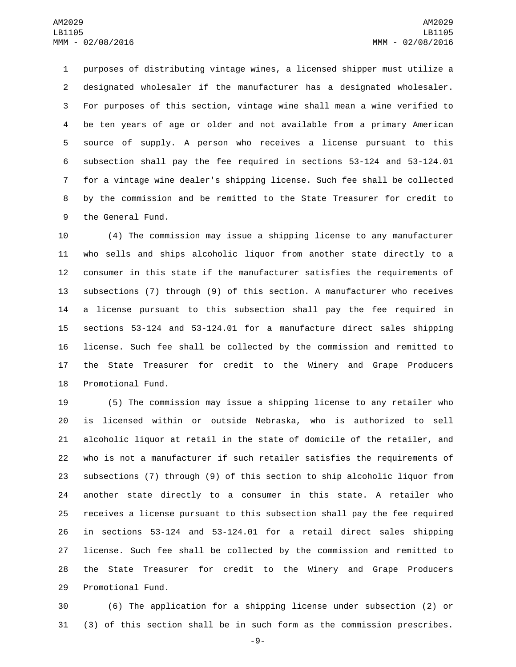purposes of distributing vintage wines, a licensed shipper must utilize a designated wholesaler if the manufacturer has a designated wholesaler. For purposes of this section, vintage wine shall mean a wine verified to be ten years of age or older and not available from a primary American source of supply. A person who receives a license pursuant to this subsection shall pay the fee required in sections 53-124 and 53-124.01 for a vintage wine dealer's shipping license. Such fee shall be collected by the commission and be remitted to the State Treasurer for credit to 9 the General Fund.

 (4) The commission may issue a shipping license to any manufacturer who sells and ships alcoholic liquor from another state directly to a consumer in this state if the manufacturer satisfies the requirements of subsections (7) through (9) of this section. A manufacturer who receives a license pursuant to this subsection shall pay the fee required in sections 53-124 and 53-124.01 for a manufacture direct sales shipping license. Such fee shall be collected by the commission and remitted to the State Treasurer for credit to the Winery and Grape Producers 18 Promotional Fund.

 (5) The commission may issue a shipping license to any retailer who is licensed within or outside Nebraska, who is authorized to sell alcoholic liquor at retail in the state of domicile of the retailer, and who is not a manufacturer if such retailer satisfies the requirements of subsections (7) through (9) of this section to ship alcoholic liquor from another state directly to a consumer in this state. A retailer who receives a license pursuant to this subsection shall pay the fee required in sections 53-124 and 53-124.01 for a retail direct sales shipping license. Such fee shall be collected by the commission and remitted to the State Treasurer for credit to the Winery and Grape Producers 29 Promotional Fund.

 (6) The application for a shipping license under subsection (2) or (3) of this section shall be in such form as the commission prescribes.

-9-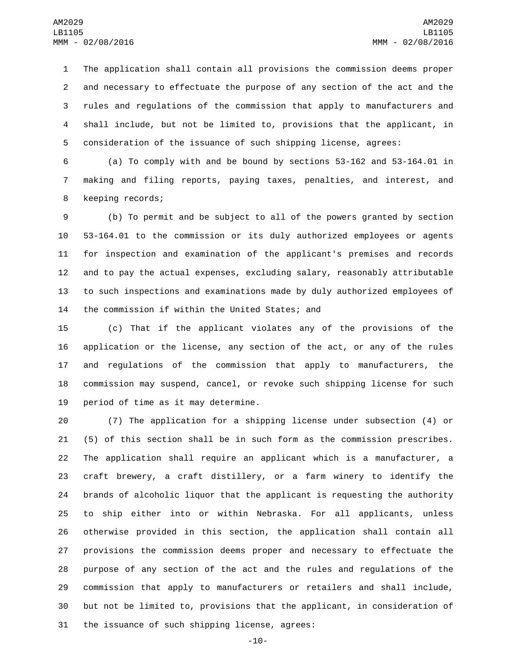The application shall contain all provisions the commission deems proper and necessary to effectuate the purpose of any section of the act and the rules and regulations of the commission that apply to manufacturers and shall include, but not be limited to, provisions that the applicant, in consideration of the issuance of such shipping license, agrees:

 (a) To comply with and be bound by sections 53-162 and 53-164.01 in making and filing reports, paying taxes, penalties, and interest, and 8 keeping records;

 (b) To permit and be subject to all of the powers granted by section 53-164.01 to the commission or its duly authorized employees or agents for inspection and examination of the applicant's premises and records and to pay the actual expenses, excluding salary, reasonably attributable to such inspections and examinations made by duly authorized employees of 14 the commission if within the United States; and

 (c) That if the applicant violates any of the provisions of the application or the license, any section of the act, or any of the rules and regulations of the commission that apply to manufacturers, the commission may suspend, cancel, or revoke such shipping license for such 19 period of time as it may determine.

 (7) The application for a shipping license under subsection (4) or (5) of this section shall be in such form as the commission prescribes. The application shall require an applicant which is a manufacturer, a craft brewery, a craft distillery, or a farm winery to identify the brands of alcoholic liquor that the applicant is requesting the authority to ship either into or within Nebraska. For all applicants, unless otherwise provided in this section, the application shall contain all provisions the commission deems proper and necessary to effectuate the purpose of any section of the act and the rules and regulations of the commission that apply to manufacturers or retailers and shall include, but not be limited to, provisions that the applicant, in consideration of 31 the issuance of such shipping license, agrees:

-10-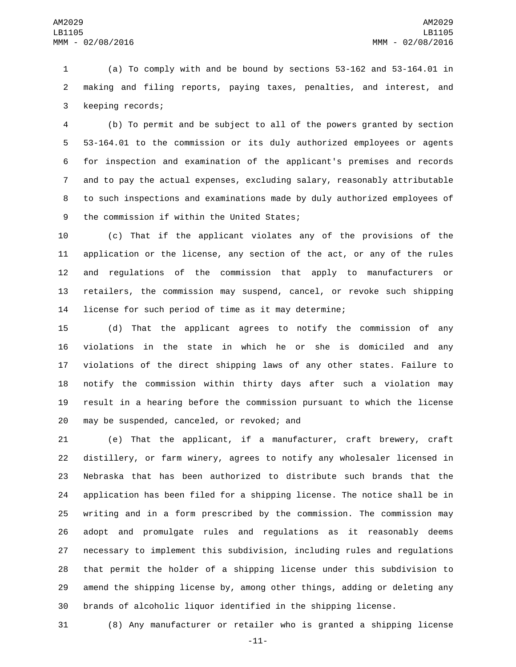(a) To comply with and be bound by sections 53-162 and 53-164.01 in making and filing reports, paying taxes, penalties, and interest, and 3 keeping records;

 (b) To permit and be subject to all of the powers granted by section 53-164.01 to the commission or its duly authorized employees or agents for inspection and examination of the applicant's premises and records and to pay the actual expenses, excluding salary, reasonably attributable to such inspections and examinations made by duly authorized employees of 9 the commission if within the United States;

 (c) That if the applicant violates any of the provisions of the application or the license, any section of the act, or any of the rules and regulations of the commission that apply to manufacturers or retailers, the commission may suspend, cancel, or revoke such shipping license for such period of time as it may determine;

 (d) That the applicant agrees to notify the commission of any violations in the state in which he or she is domiciled and any violations of the direct shipping laws of any other states. Failure to notify the commission within thirty days after such a violation may result in a hearing before the commission pursuant to which the license 20 may be suspended, canceled, or revoked; and

 (e) That the applicant, if a manufacturer, craft brewery, craft distillery, or farm winery, agrees to notify any wholesaler licensed in Nebraska that has been authorized to distribute such brands that the application has been filed for a shipping license. The notice shall be in writing and in a form prescribed by the commission. The commission may adopt and promulgate rules and regulations as it reasonably deems necessary to implement this subdivision, including rules and regulations that permit the holder of a shipping license under this subdivision to amend the shipping license by, among other things, adding or deleting any brands of alcoholic liquor identified in the shipping license.

(8) Any manufacturer or retailer who is granted a shipping license

-11-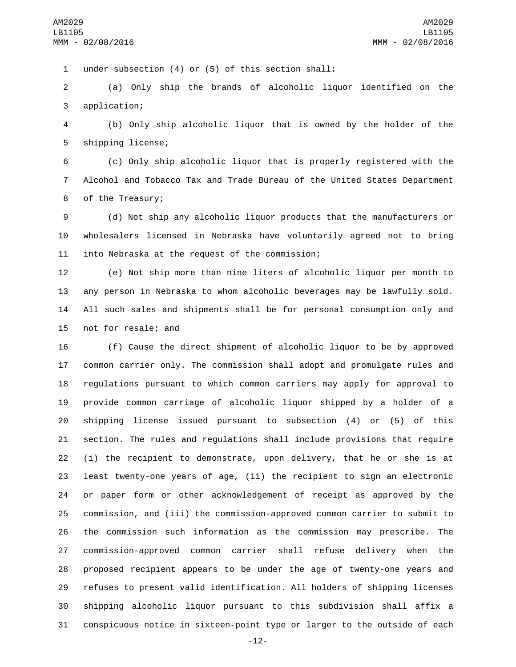1 under subsection (4) or (5) of this section shall:

 (a) Only ship the brands of alcoholic liquor identified on the 3 application;

 (b) Only ship alcoholic liquor that is owned by the holder of the 5 shipping license;

 (c) Only ship alcoholic liquor that is properly registered with the Alcohol and Tobacco Tax and Trade Bureau of the United States Department 8 of the Treasury;

 (d) Not ship any alcoholic liquor products that the manufacturers or wholesalers licensed in Nebraska have voluntarily agreed not to bring 11 into Nebraska at the request of the commission;

 (e) Not ship more than nine liters of alcoholic liquor per month to any person in Nebraska to whom alcoholic beverages may be lawfully sold. All such sales and shipments shall be for personal consumption only and 15 not for resale; and

 (f) Cause the direct shipment of alcoholic liquor to be by approved common carrier only. The commission shall adopt and promulgate rules and regulations pursuant to which common carriers may apply for approval to provide common carriage of alcoholic liquor shipped by a holder of a shipping license issued pursuant to subsection (4) or (5) of this section. The rules and regulations shall include provisions that require (i) the recipient to demonstrate, upon delivery, that he or she is at least twenty-one years of age, (ii) the recipient to sign an electronic or paper form or other acknowledgement of receipt as approved by the commission, and (iii) the commission-approved common carrier to submit to the commission such information as the commission may prescribe. The commission-approved common carrier shall refuse delivery when the proposed recipient appears to be under the age of twenty-one years and refuses to present valid identification. All holders of shipping licenses shipping alcoholic liquor pursuant to this subdivision shall affix a conspicuous notice in sixteen-point type or larger to the outside of each

-12-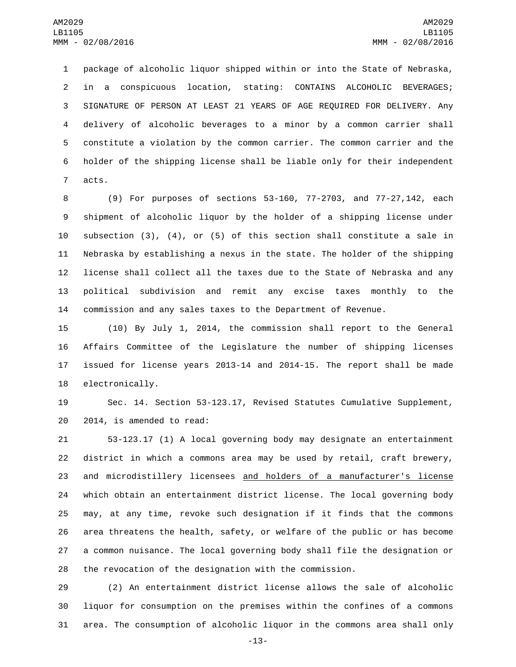package of alcoholic liquor shipped within or into the State of Nebraska, in a conspicuous location, stating: CONTAINS ALCOHOLIC BEVERAGES; SIGNATURE OF PERSON AT LEAST 21 YEARS OF AGE REQUIRED FOR DELIVERY. Any delivery of alcoholic beverages to a minor by a common carrier shall constitute a violation by the common carrier. The common carrier and the holder of the shipping license shall be liable only for their independent 7 acts.

 (9) For purposes of sections 53-160, 77-2703, and 77-27,142, each shipment of alcoholic liquor by the holder of a shipping license under subsection (3), (4), or (5) of this section shall constitute a sale in Nebraska by establishing a nexus in the state. The holder of the shipping license shall collect all the taxes due to the State of Nebraska and any political subdivision and remit any excise taxes monthly to the commission and any sales taxes to the Department of Revenue.

 (10) By July 1, 2014, the commission shall report to the General Affairs Committee of the Legislature the number of shipping licenses issued for license years 2013-14 and 2014-15. The report shall be made 18 electronically.

 Sec. 14. Section 53-123.17, Revised Statutes Cumulative Supplement, 20 2014, is amended to read:

 53-123.17 (1) A local governing body may designate an entertainment district in which a commons area may be used by retail, craft brewery, and microdistillery licensees and holders of a manufacturer's license which obtain an entertainment district license. The local governing body may, at any time, revoke such designation if it finds that the commons area threatens the health, safety, or welfare of the public or has become a common nuisance. The local governing body shall file the designation or the revocation of the designation with the commission.

 (2) An entertainment district license allows the sale of alcoholic liquor for consumption on the premises within the confines of a commons area. The consumption of alcoholic liquor in the commons area shall only

-13-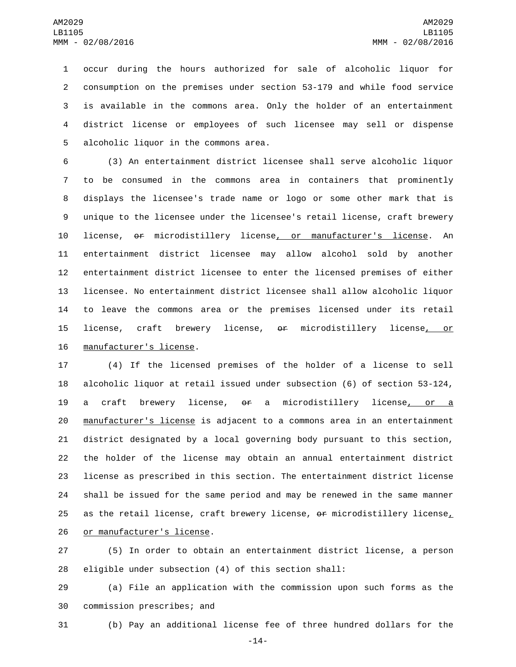occur during the hours authorized for sale of alcoholic liquor for consumption on the premises under section 53-179 and while food service is available in the commons area. Only the holder of an entertainment district license or employees of such licensee may sell or dispense 5 alcoholic liquor in the commons area.

 (3) An entertainment district licensee shall serve alcoholic liquor to be consumed in the commons area in containers that prominently displays the licensee's trade name or logo or some other mark that is unique to the licensee under the licensee's retail license, craft brewery 10 license, or microdistillery license<u>, or manufacturer's licens</u>e. An entertainment district licensee may allow alcohol sold by another entertainment district licensee to enter the licensed premises of either licensee. No entertainment district licensee shall allow alcoholic liquor to leave the commons area or the premises licensed under its retail license, craft brewery license, or microdistillery license, or 16 manufacturer's license.

 (4) If the licensed premises of the holder of a license to sell alcoholic liquor at retail issued under subsection (6) of section 53-124, a craft brewery license, or a microdistillery license, or a 20 manufacturer's license is adjacent to a commons area in an entertainment district designated by a local governing body pursuant to this section, the holder of the license may obtain an annual entertainment district license as prescribed in this section. The entertainment district license shall be issued for the same period and may be renewed in the same manner 25 as the retail license, craft brewery license,  $\theta$ r microdistillery license, 26 or manufacturer's license.

 (5) In order to obtain an entertainment district license, a person eligible under subsection (4) of this section shall:

 (a) File an application with the commission upon such forms as the 30 commission prescribes; and

(b) Pay an additional license fee of three hundred dollars for the

-14-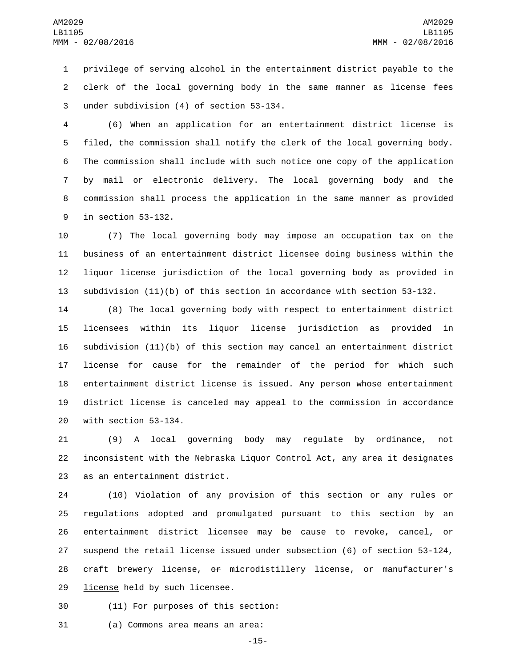privilege of serving alcohol in the entertainment district payable to the clerk of the local governing body in the same manner as license fees 3 under subdivision (4) of section 53-134.

 (6) When an application for an entertainment district license is filed, the commission shall notify the clerk of the local governing body. The commission shall include with such notice one copy of the application by mail or electronic delivery. The local governing body and the commission shall process the application in the same manner as provided 9 in section 53-132.

 (7) The local governing body may impose an occupation tax on the business of an entertainment district licensee doing business within the liquor license jurisdiction of the local governing body as provided in subdivision (11)(b) of this section in accordance with section 53-132.

 (8) The local governing body with respect to entertainment district licensees within its liquor license jurisdiction as provided in subdivision (11)(b) of this section may cancel an entertainment district license for cause for the remainder of the period for which such entertainment district license is issued. Any person whose entertainment district license is canceled may appeal to the commission in accordance with section 53-134.

 (9) A local governing body may regulate by ordinance, not inconsistent with the Nebraska Liquor Control Act, any area it designates 23 as an entertainment district.

 (10) Violation of any provision of this section or any rules or regulations adopted and promulgated pursuant to this section by an entertainment district licensee may be cause to revoke, cancel, or suspend the retail license issued under subsection (6) of section 53-124, craft brewery license, or microdistillery license, or manufacturer's 29 license held by such licensee.

30 (11) For purposes of this section:

31 (a) Commons area means an area:

-15-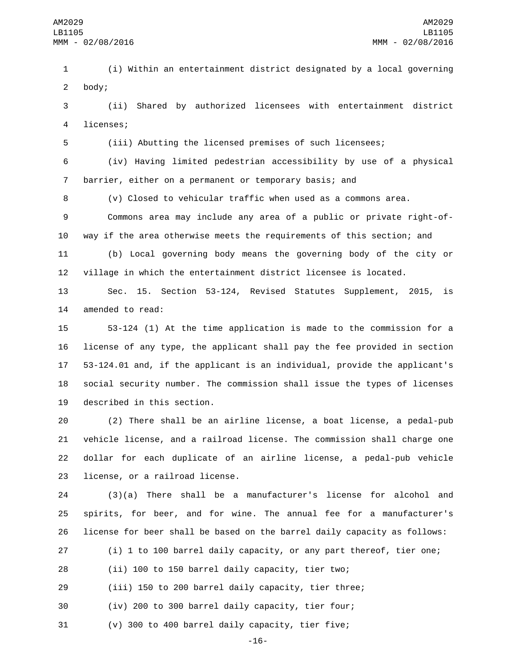(i) Within an entertainment district designated by a local governing 2 body;

 (ii) Shared by authorized licensees with entertainment district 4 licenses;

(iii) Abutting the licensed premises of such licensees;

 (iv) Having limited pedestrian accessibility by use of a physical barrier, either on a permanent or temporary basis; and

(v) Closed to vehicular traffic when used as a commons area.

 Commons area may include any area of a public or private right-of-way if the area otherwise meets the requirements of this section; and

 (b) Local governing body means the governing body of the city or village in which the entertainment district licensee is located.

 Sec. 15. Section 53-124, Revised Statutes Supplement, 2015, is 14 amended to read:

 53-124 (1) At the time application is made to the commission for a license of any type, the applicant shall pay the fee provided in section 53-124.01 and, if the applicant is an individual, provide the applicant's social security number. The commission shall issue the types of licenses 19 described in this section.

 (2) There shall be an airline license, a boat license, a pedal-pub vehicle license, and a railroad license. The commission shall charge one dollar for each duplicate of an airline license, a pedal-pub vehicle 23 license, or a railroad license.

 (3)(a) There shall be a manufacturer's license for alcohol and spirits, for beer, and for wine. The annual fee for a manufacturer's license for beer shall be based on the barrel daily capacity as follows:

 (i) 1 to 100 barrel daily capacity, or any part thereof, tier one; (ii) 100 to 150 barrel daily capacity, tier two;

(iii) 150 to 200 barrel daily capacity, tier three;

(iv) 200 to 300 barrel daily capacity, tier four;

(v) 300 to 400 barrel daily capacity, tier five;

-16-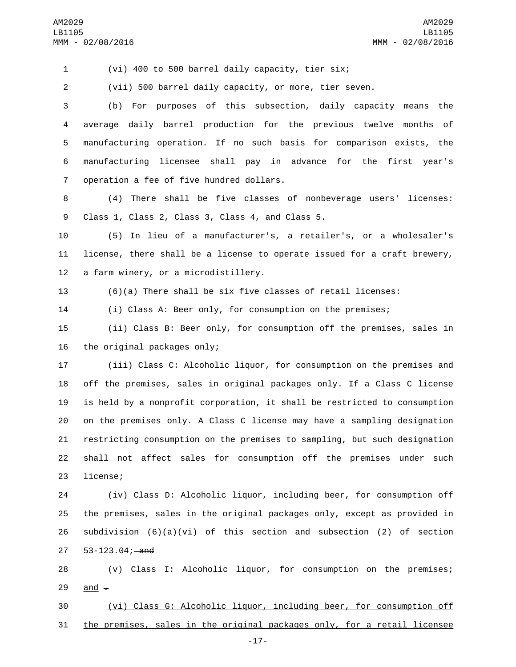(vi) 400 to 500 barrel daily capacity, tier six;

(vii) 500 barrel daily capacity, or more, tier seven.

 (b) For purposes of this subsection, daily capacity means the average daily barrel production for the previous twelve months of manufacturing operation. If no such basis for comparison exists, the manufacturing licensee shall pay in advance for the first year's 7 operation a fee of five hundred dollars.

 (4) There shall be five classes of nonbeverage users' licenses: 9 Class 1, Class 2, Class 3, Class 4, and Class 5.

 (5) In lieu of a manufacturer's, a retailer's, or a wholesaler's license, there shall be a license to operate issued for a craft brewery, 12 a farm winery, or a microdistillery.

13 (6)(a) There shall be  $\frac{six}{dx}$  five classes of retail licenses:

(i) Class A: Beer only, for consumption on the premises;

 (ii) Class B: Beer only, for consumption off the premises, sales in the original packages only;

 (iii) Class C: Alcoholic liquor, for consumption on the premises and off the premises, sales in original packages only. If a Class C license is held by a nonprofit corporation, it shall be restricted to consumption on the premises only. A Class C license may have a sampling designation restricting consumption on the premises to sampling, but such designation shall not affect sales for consumption off the premises under such 23 license;

 (iv) Class D: Alcoholic liquor, including beer, for consumption off the premises, sales in the original packages only, except as provided in 26 subdivision  $(6)(a)(vi)$  of this section and subsection (2) of section 27 53-123.04; and

 (v) Class I: Alcoholic liquor, for consumption on the premises; 29 and  $\overline{z}$ 

 (vi) Class G: Alcoholic liquor, including beer, for consumption off the premises, sales in the original packages only, for a retail licensee

-17-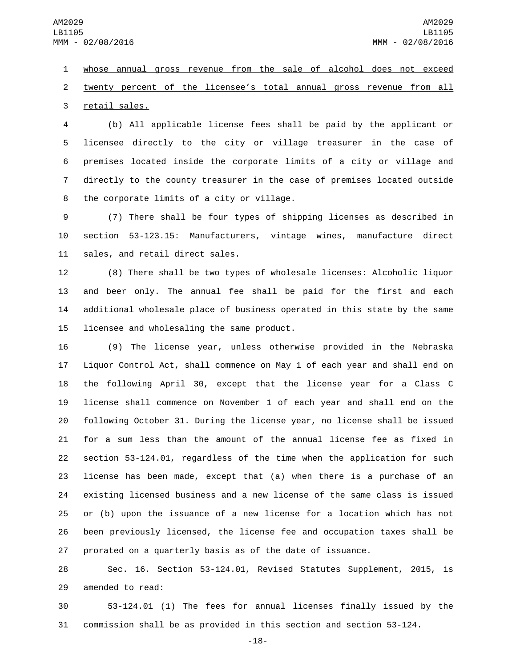whose annual gross revenue from the sale of alcohol does not exceed twenty percent of the licensee's total annual gross revenue from all 3 retail sales.

 (b) All applicable license fees shall be paid by the applicant or licensee directly to the city or village treasurer in the case of premises located inside the corporate limits of a city or village and directly to the county treasurer in the case of premises located outside 8 the corporate limits of a city or village.

 (7) There shall be four types of shipping licenses as described in section 53-123.15: Manufacturers, vintage wines, manufacture direct 11 sales, and retail direct sales.

 (8) There shall be two types of wholesale licenses: Alcoholic liquor and beer only. The annual fee shall be paid for the first and each additional wholesale place of business operated in this state by the same 15 licensee and wholesaling the same product.

 (9) The license year, unless otherwise provided in the Nebraska Liquor Control Act, shall commence on May 1 of each year and shall end on the following April 30, except that the license year for a Class C license shall commence on November 1 of each year and shall end on the following October 31. During the license year, no license shall be issued for a sum less than the amount of the annual license fee as fixed in section 53-124.01, regardless of the time when the application for such license has been made, except that (a) when there is a purchase of an existing licensed business and a new license of the same class is issued or (b) upon the issuance of a new license for a location which has not been previously licensed, the license fee and occupation taxes shall be prorated on a quarterly basis as of the date of issuance.

 Sec. 16. Section 53-124.01, Revised Statutes Supplement, 2015, is 29 amended to read:

 53-124.01 (1) The fees for annual licenses finally issued by the commission shall be as provided in this section and section 53-124.

-18-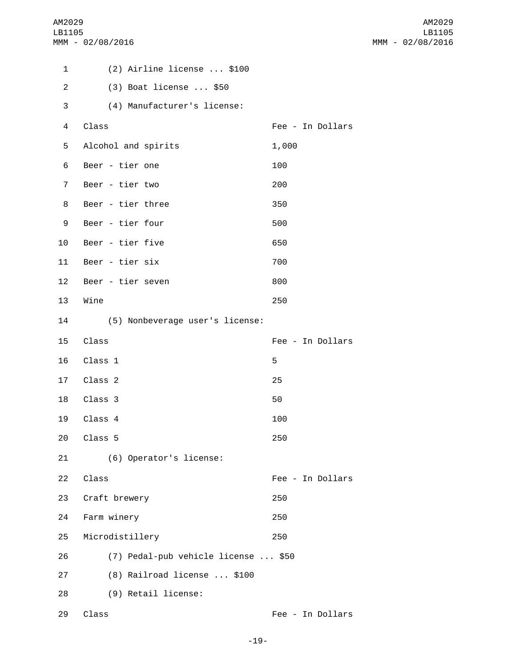AM2029 LB1105 MMM - 02/08/2016

| 1              | (2) Airline license  \$100          |                  |
|----------------|-------------------------------------|------------------|
| $\overline{c}$ | (3) Boat license  \$50              |                  |
| 3              | (4) Manufacturer's license:         |                  |
| 4              | Class                               | Fee - In Dollars |
| 5              | Alcohol and spirits                 | 1,000            |
| 6              | Beer - tier one                     | 100              |
| $\overline{7}$ | Beer - tier two                     | 200              |
| 8              | Beer - tier three                   | 350              |
| 9              | Beer - tier four                    | 500              |
| 10             | Beer - tier five                    | 650              |
| 11             | Beer - tier six                     | 700              |
| 12             | Beer - tier seven                   | 800              |
| 13             | Wine                                | 250              |
| 14             | (5) Nonbeverage user's license:     |                  |
| 15             | Class                               | Fee - In Dollars |
| 16             | Class 1                             | 5                |
| 17             | Class 2                             | 25               |
| 18             | Class 3                             | 50               |
| 19             | Class 4                             | 100              |
| 20             | Class 5                             | 250              |
| 21             | (6) Operator's license:             |                  |
| 22             | Class                               | Fee - In Dollars |
| 23             | Craft brewery                       | 250              |
| 24             | Farm winery                         | 250              |
| 25             | Microdistillery                     | 250              |
| 26             | (7) Pedal-pub vehicle license  \$50 |                  |
| 27             | (8) Railroad license  \$100         |                  |
| 28             | (9) Retail license:                 |                  |
| 29             | Class                               | Fee - In Dollars |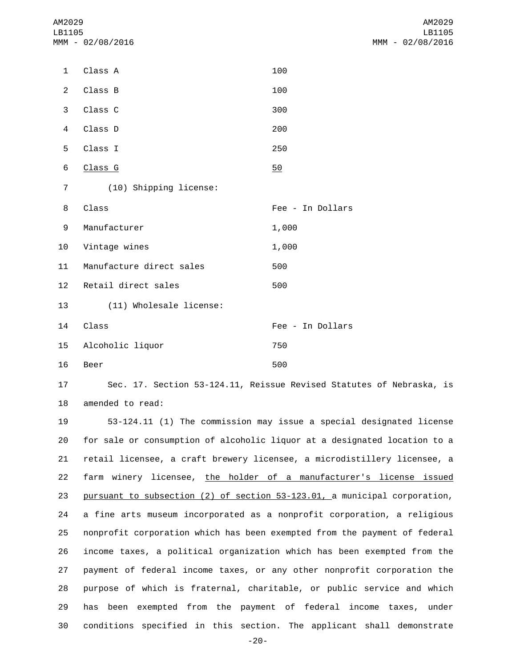AM2029 LB1105 MMM - 02/08/2016

| 1              | Class A                  | 100              |
|----------------|--------------------------|------------------|
| $\overline{2}$ | Class B                  | 100              |
| 3              | Class C                  | 300              |
| 4              | Class D                  | 200              |
| 5              | Class I                  | 250              |
| 6              | Class G                  | 50               |
| $\overline{7}$ | (10) Shipping license:   |                  |
| 8              | Class                    | Fee - In Dollars |
|                |                          |                  |
| 9              | Manufacturer             | 1,000            |
| 10             | Vintage wines            | 1,000            |
| 11             | Manufacture direct sales | 500              |
| 12             | Retail direct sales      | 500              |
| 13             | (11) Wholesale license:  |                  |
| 14             | Class                    | Fee - In Dollars |
| 15             | Alcoholic liquor         | 750              |

17 Sec. 17. Section 53-124.11, Reissue Revised Statutes of Nebraska, is 18 amended to read:

 53-124.11 (1) The commission may issue a special designated license for sale or consumption of alcoholic liquor at a designated location to a retail licensee, a craft brewery licensee, a microdistillery licensee, a 22 farm winery licensee, the holder of a manufacturer's license issued 23 pursuant to subsection (2) of section 53-123.01, a municipal corporation, a fine arts museum incorporated as a nonprofit corporation, a religious nonprofit corporation which has been exempted from the payment of federal income taxes, a political organization which has been exempted from the payment of federal income taxes, or any other nonprofit corporation the purpose of which is fraternal, charitable, or public service and which has been exempted from the payment of federal income taxes, under conditions specified in this section. The applicant shall demonstrate

-20-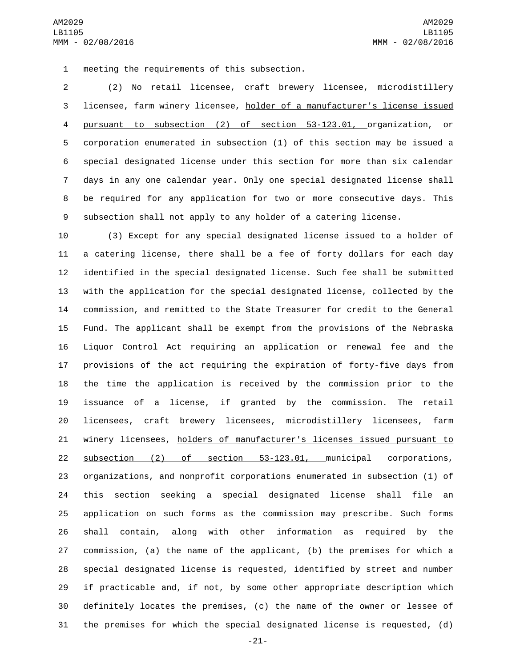1 meeting the requirements of this subsection.

 (2) No retail licensee, craft brewery licensee, microdistillery licensee, farm winery licensee, holder of a manufacturer's license issued pursuant to subsection (2) of section 53-123.01, organization, or corporation enumerated in subsection (1) of this section may be issued a special designated license under this section for more than six calendar days in any one calendar year. Only one special designated license shall be required for any application for two or more consecutive days. This subsection shall not apply to any holder of a catering license.

 (3) Except for any special designated license issued to a holder of a catering license, there shall be a fee of forty dollars for each day identified in the special designated license. Such fee shall be submitted with the application for the special designated license, collected by the commission, and remitted to the State Treasurer for credit to the General Fund. The applicant shall be exempt from the provisions of the Nebraska Liquor Control Act requiring an application or renewal fee and the provisions of the act requiring the expiration of forty-five days from the time the application is received by the commission prior to the issuance of a license, if granted by the commission. The retail licensees, craft brewery licensees, microdistillery licensees, farm 21 winery licensees, holders of manufacturer's licenses issued pursuant to subsection (2) of section 53-123.01, municipal corporations, organizations, and nonprofit corporations enumerated in subsection (1) of this section seeking a special designated license shall file an application on such forms as the commission may prescribe. Such forms shall contain, along with other information as required by the commission, (a) the name of the applicant, (b) the premises for which a special designated license is requested, identified by street and number if practicable and, if not, by some other appropriate description which definitely locates the premises, (c) the name of the owner or lessee of the premises for which the special designated license is requested, (d)

-21-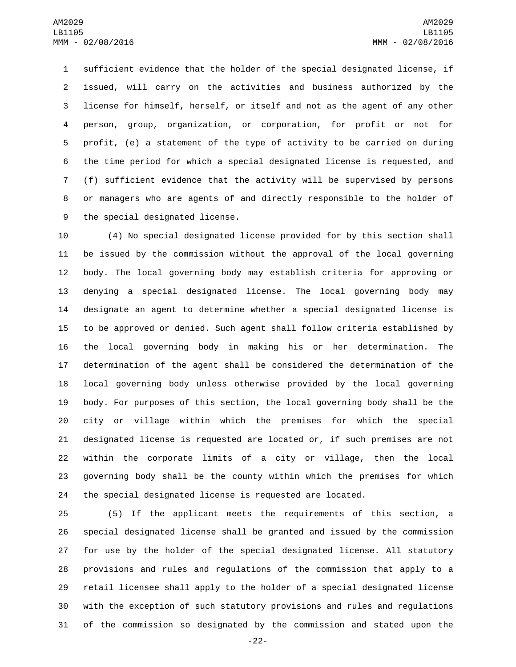sufficient evidence that the holder of the special designated license, if issued, will carry on the activities and business authorized by the license for himself, herself, or itself and not as the agent of any other person, group, organization, or corporation, for profit or not for profit, (e) a statement of the type of activity to be carried on during the time period for which a special designated license is requested, and (f) sufficient evidence that the activity will be supervised by persons or managers who are agents of and directly responsible to the holder of 9 the special designated license.

 (4) No special designated license provided for by this section shall be issued by the commission without the approval of the local governing body. The local governing body may establish criteria for approving or denying a special designated license. The local governing body may designate an agent to determine whether a special designated license is to be approved or denied. Such agent shall follow criteria established by the local governing body in making his or her determination. The determination of the agent shall be considered the determination of the local governing body unless otherwise provided by the local governing body. For purposes of this section, the local governing body shall be the city or village within which the premises for which the special designated license is requested are located or, if such premises are not within the corporate limits of a city or village, then the local governing body shall be the county within which the premises for which the special designated license is requested are located.

 (5) If the applicant meets the requirements of this section, a special designated license shall be granted and issued by the commission for use by the holder of the special designated license. All statutory provisions and rules and regulations of the commission that apply to a retail licensee shall apply to the holder of a special designated license with the exception of such statutory provisions and rules and regulations of the commission so designated by the commission and stated upon the

-22-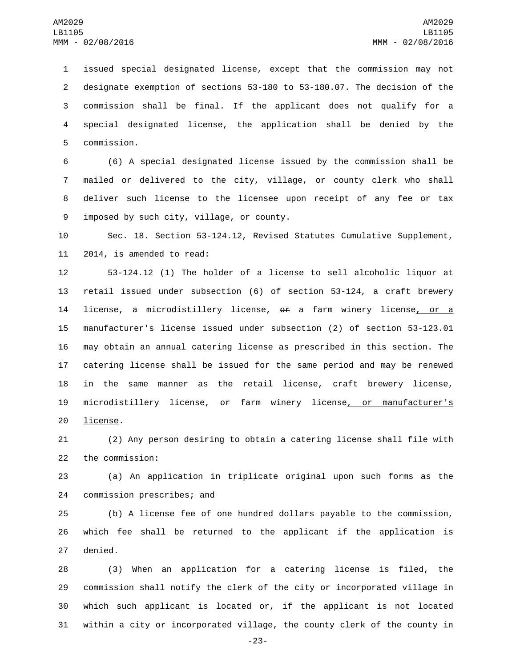issued special designated license, except that the commission may not designate exemption of sections 53-180 to 53-180.07. The decision of the commission shall be final. If the applicant does not qualify for a special designated license, the application shall be denied by the 5 commission.

 (6) A special designated license issued by the commission shall be mailed or delivered to the city, village, or county clerk who shall deliver such license to the licensee upon receipt of any fee or tax 9 imposed by such city, village, or county.

 Sec. 18. Section 53-124.12, Revised Statutes Cumulative Supplement, 11 2014, is amended to read:

 53-124.12 (1) The holder of a license to sell alcoholic liquor at retail issued under subsection (6) of section 53-124, a craft brewery 14 license, a microdistillery license, or a farm winery license, or a manufacturer's license issued under subsection (2) of section 53-123.01 may obtain an annual catering license as prescribed in this section. The catering license shall be issued for the same period and may be renewed in the same manner as the retail license, craft brewery license, microdistillery license, or farm winery license, or manufacturer's 20 license.

 (2) Any person desiring to obtain a catering license shall file with 22 the commission:

 (a) An application in triplicate original upon such forms as the 24 commission prescribes; and

 (b) A license fee of one hundred dollars payable to the commission, which fee shall be returned to the applicant if the application is 27 denied.

 (3) When an application for a catering license is filed, the commission shall notify the clerk of the city or incorporated village in which such applicant is located or, if the applicant is not located within a city or incorporated village, the county clerk of the county in

-23-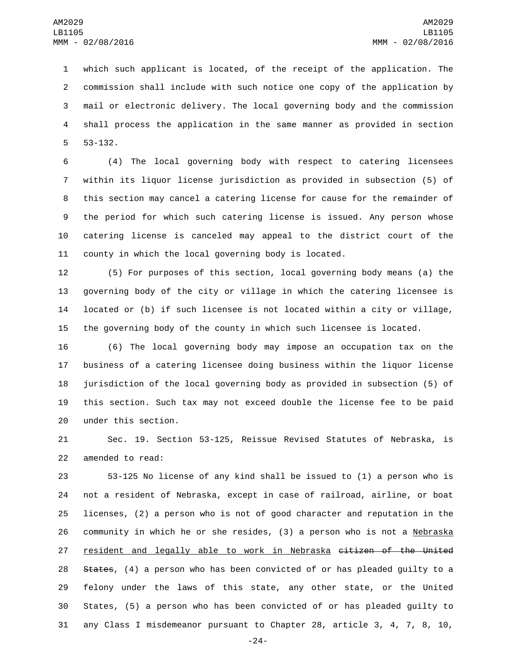which such applicant is located, of the receipt of the application. The commission shall include with such notice one copy of the application by mail or electronic delivery. The local governing body and the commission shall process the application in the same manner as provided in section  $53 - 132$ .

 (4) The local governing body with respect to catering licensees within its liquor license jurisdiction as provided in subsection (5) of this section may cancel a catering license for cause for the remainder of the period for which such catering license is issued. Any person whose catering license is canceled may appeal to the district court of the county in which the local governing body is located.

 (5) For purposes of this section, local governing body means (a) the governing body of the city or village in which the catering licensee is located or (b) if such licensee is not located within a city or village, the governing body of the county in which such licensee is located.

 (6) The local governing body may impose an occupation tax on the business of a catering licensee doing business within the liquor license jurisdiction of the local governing body as provided in subsection (5) of this section. Such tax may not exceed double the license fee to be paid 20 under this section.

 Sec. 19. Section 53-125, Reissue Revised Statutes of Nebraska, is 22 amended to read:

 53-125 No license of any kind shall be issued to (1) a person who is not a resident of Nebraska, except in case of railroad, airline, or boat licenses, (2) a person who is not of good character and reputation in the 26 community in which he or she resides, (3) a person who is not a Nebraska resident and legally able to work in Nebraska citizen of the United 28 States, (4) a person who has been convicted of or has pleaded guilty to a felony under the laws of this state, any other state, or the United States, (5) a person who has been convicted of or has pleaded guilty to any Class I misdemeanor pursuant to Chapter 28, article 3, 4, 7, 8, 10,

-24-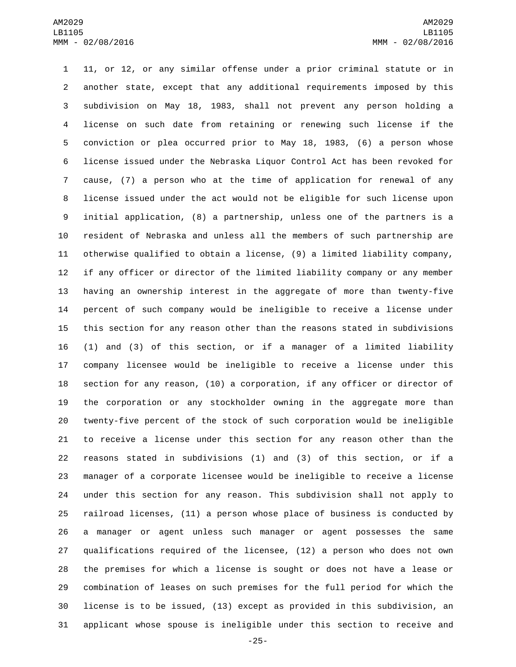11, or 12, or any similar offense under a prior criminal statute or in another state, except that any additional requirements imposed by this subdivision on May 18, 1983, shall not prevent any person holding a license on such date from retaining or renewing such license if the conviction or plea occurred prior to May 18, 1983, (6) a person whose license issued under the Nebraska Liquor Control Act has been revoked for cause, (7) a person who at the time of application for renewal of any license issued under the act would not be eligible for such license upon initial application, (8) a partnership, unless one of the partners is a resident of Nebraska and unless all the members of such partnership are otherwise qualified to obtain a license, (9) a limited liability company, if any officer or director of the limited liability company or any member having an ownership interest in the aggregate of more than twenty-five percent of such company would be ineligible to receive a license under this section for any reason other than the reasons stated in subdivisions (1) and (3) of this section, or if a manager of a limited liability company licensee would be ineligible to receive a license under this section for any reason, (10) a corporation, if any officer or director of the corporation or any stockholder owning in the aggregate more than twenty-five percent of the stock of such corporation would be ineligible to receive a license under this section for any reason other than the reasons stated in subdivisions (1) and (3) of this section, or if a manager of a corporate licensee would be ineligible to receive a license under this section for any reason. This subdivision shall not apply to railroad licenses, (11) a person whose place of business is conducted by a manager or agent unless such manager or agent possesses the same qualifications required of the licensee, (12) a person who does not own the premises for which a license is sought or does not have a lease or combination of leases on such premises for the full period for which the license is to be issued, (13) except as provided in this subdivision, an applicant whose spouse is ineligible under this section to receive and

-25-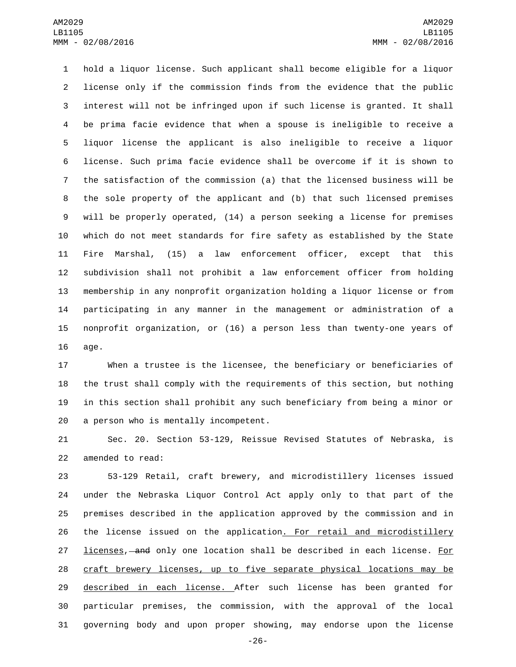hold a liquor license. Such applicant shall become eligible for a liquor license only if the commission finds from the evidence that the public interest will not be infringed upon if such license is granted. It shall be prima facie evidence that when a spouse is ineligible to receive a liquor license the applicant is also ineligible to receive a liquor license. Such prima facie evidence shall be overcome if it is shown to the satisfaction of the commission (a) that the licensed business will be the sole property of the applicant and (b) that such licensed premises will be properly operated, (14) a person seeking a license for premises which do not meet standards for fire safety as established by the State Fire Marshal, (15) a law enforcement officer, except that this subdivision shall not prohibit a law enforcement officer from holding membership in any nonprofit organization holding a liquor license or from participating in any manner in the management or administration of a nonprofit organization, or (16) a person less than twenty-one years of 16 age.

 When a trustee is the licensee, the beneficiary or beneficiaries of the trust shall comply with the requirements of this section, but nothing in this section shall prohibit any such beneficiary from being a minor or 20 a person who is mentally incompetent.

 Sec. 20. Section 53-129, Reissue Revised Statutes of Nebraska, is 22 amended to read:

 53-129 Retail, craft brewery, and microdistillery licenses issued under the Nebraska Liquor Control Act apply only to that part of the premises described in the application approved by the commission and in 26 the license issued on the application. For retail and microdistillery 27 licenses, and only one location shall be described in each license. For craft brewery licenses, up to five separate physical locations may be 29 described in each license. After such license has been granted for particular premises, the commission, with the approval of the local governing body and upon proper showing, may endorse upon the license

-26-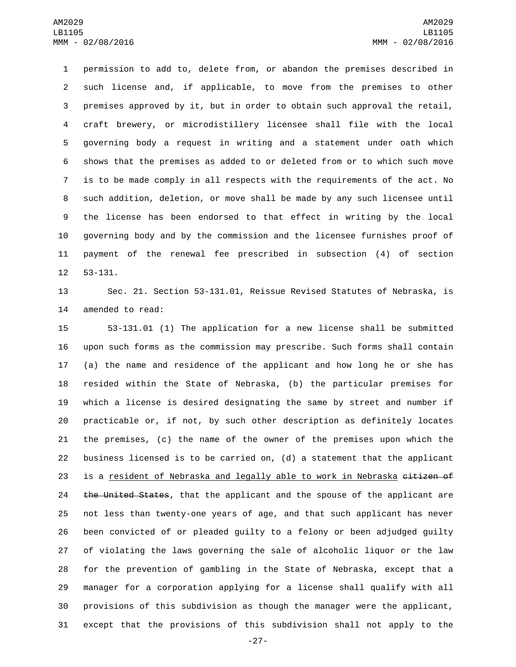permission to add to, delete from, or abandon the premises described in such license and, if applicable, to move from the premises to other premises approved by it, but in order to obtain such approval the retail, craft brewery, or microdistillery licensee shall file with the local governing body a request in writing and a statement under oath which shows that the premises as added to or deleted from or to which such move is to be made comply in all respects with the requirements of the act. No such addition, deletion, or move shall be made by any such licensee until the license has been endorsed to that effect in writing by the local governing body and by the commission and the licensee furnishes proof of payment of the renewal fee prescribed in subsection (4) of section 12 53-131.

 Sec. 21. Section 53-131.01, Reissue Revised Statutes of Nebraska, is 14 amended to read:

 53-131.01 (1) The application for a new license shall be submitted upon such forms as the commission may prescribe. Such forms shall contain (a) the name and residence of the applicant and how long he or she has resided within the State of Nebraska, (b) the particular premises for which a license is desired designating the same by street and number if practicable or, if not, by such other description as definitely locates the premises, (c) the name of the owner of the premises upon which the business licensed is to be carried on, (d) a statement that the applicant 23 is a resident of Nebraska and legally able to work in Nebraska eitizen of 24 the United States, that the applicant and the spouse of the applicant are not less than twenty-one years of age, and that such applicant has never been convicted of or pleaded guilty to a felony or been adjudged guilty of violating the laws governing the sale of alcoholic liquor or the law for the prevention of gambling in the State of Nebraska, except that a manager for a corporation applying for a license shall qualify with all provisions of this subdivision as though the manager were the applicant, except that the provisions of this subdivision shall not apply to the

-27-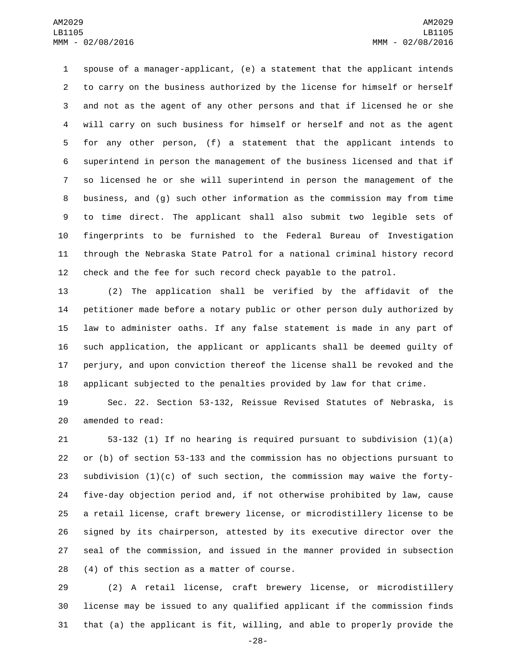spouse of a manager-applicant, (e) a statement that the applicant intends to carry on the business authorized by the license for himself or herself and not as the agent of any other persons and that if licensed he or she will carry on such business for himself or herself and not as the agent for any other person, (f) a statement that the applicant intends to superintend in person the management of the business licensed and that if so licensed he or she will superintend in person the management of the business, and (g) such other information as the commission may from time to time direct. The applicant shall also submit two legible sets of fingerprints to be furnished to the Federal Bureau of Investigation through the Nebraska State Patrol for a national criminal history record check and the fee for such record check payable to the patrol.

 (2) The application shall be verified by the affidavit of the petitioner made before a notary public or other person duly authorized by law to administer oaths. If any false statement is made in any part of such application, the applicant or applicants shall be deemed guilty of perjury, and upon conviction thereof the license shall be revoked and the applicant subjected to the penalties provided by law for that crime.

 Sec. 22. Section 53-132, Reissue Revised Statutes of Nebraska, is 20 amended to read:

 53-132 (1) If no hearing is required pursuant to subdivision (1)(a) or (b) of section 53-133 and the commission has no objections pursuant to 23 subdivision  $(1)(c)$  of such section, the commission may waive the forty- five-day objection period and, if not otherwise prohibited by law, cause a retail license, craft brewery license, or microdistillery license to be signed by its chairperson, attested by its executive director over the seal of the commission, and issued in the manner provided in subsection (4) of this section as a matter of course.

 (2) A retail license, craft brewery license, or microdistillery license may be issued to any qualified applicant if the commission finds that (a) the applicant is fit, willing, and able to properly provide the

-28-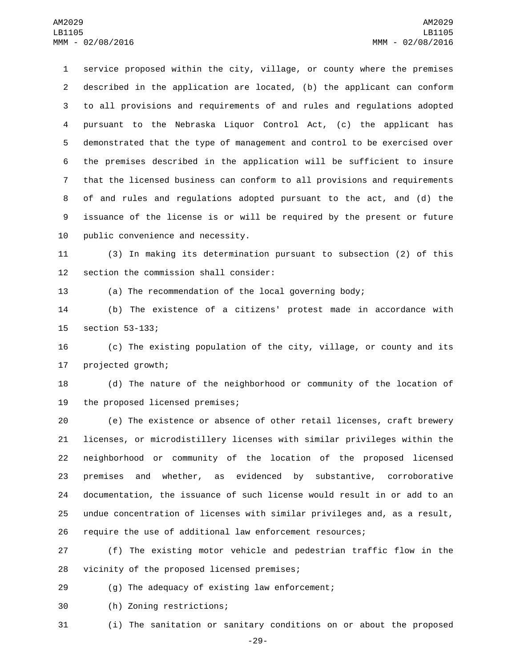service proposed within the city, village, or county where the premises described in the application are located, (b) the applicant can conform to all provisions and requirements of and rules and regulations adopted pursuant to the Nebraska Liquor Control Act, (c) the applicant has demonstrated that the type of management and control to be exercised over the premises described in the application will be sufficient to insure that the licensed business can conform to all provisions and requirements of and rules and regulations adopted pursuant to the act, and (d) the issuance of the license is or will be required by the present or future 10 public convenience and necessity.

 (3) In making its determination pursuant to subsection (2) of this 12 section the commission shall consider:

(a) The recommendation of the local governing body;

 (b) The existence of a citizens' protest made in accordance with 15 section 53-133;

 (c) The existing population of the city, village, or county and its 17 projected growth;

 (d) The nature of the neighborhood or community of the location of 19 the proposed licensed premises;

 (e) The existence or absence of other retail licenses, craft brewery licenses, or microdistillery licenses with similar privileges within the neighborhood or community of the location of the proposed licensed premises and whether, as evidenced by substantive, corroborative documentation, the issuance of such license would result in or add to an undue concentration of licenses with similar privileges and, as a result, require the use of additional law enforcement resources;

 (f) The existing motor vehicle and pedestrian traffic flow in the 28 vicinity of the proposed licensed premises;

(g) The adequacy of existing law enforcement;

(h) Zoning restrictions;30

(i) The sanitation or sanitary conditions on or about the proposed

-29-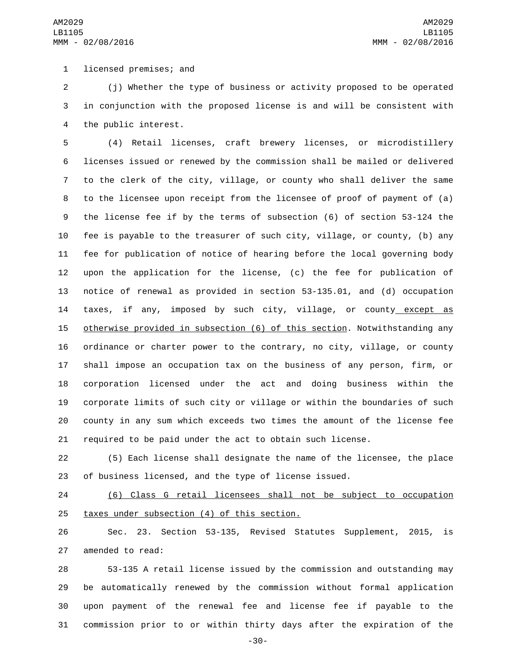1 licensed premises; and

 (j) Whether the type of business or activity proposed to be operated in conjunction with the proposed license is and will be consistent with 4 the public interest.

 (4) Retail licenses, craft brewery licenses, or microdistillery licenses issued or renewed by the commission shall be mailed or delivered to the clerk of the city, village, or county who shall deliver the same to the licensee upon receipt from the licensee of proof of payment of (a) the license fee if by the terms of subsection (6) of section 53-124 the fee is payable to the treasurer of such city, village, or county, (b) any fee for publication of notice of hearing before the local governing body upon the application for the license, (c) the fee for publication of notice of renewal as provided in section 53-135.01, and (d) occupation 14 taxes, if any, imposed by such city, village, or county except as otherwise provided in subsection (6) of this section. Notwithstanding any ordinance or charter power to the contrary, no city, village, or county shall impose an occupation tax on the business of any person, firm, or corporation licensed under the act and doing business within the corporate limits of such city or village or within the boundaries of such county in any sum which exceeds two times the amount of the license fee required to be paid under the act to obtain such license.

 (5) Each license shall designate the name of the licensee, the place of business licensed, and the type of license issued.

 (6) Class G retail licensees shall not be subject to occupation 25 taxes under subsection (4) of this section.

 Sec. 23. Section 53-135, Revised Statutes Supplement, 2015, is 27 amended to read:

 53-135 A retail license issued by the commission and outstanding may be automatically renewed by the commission without formal application upon payment of the renewal fee and license fee if payable to the commission prior to or within thirty days after the expiration of the

-30-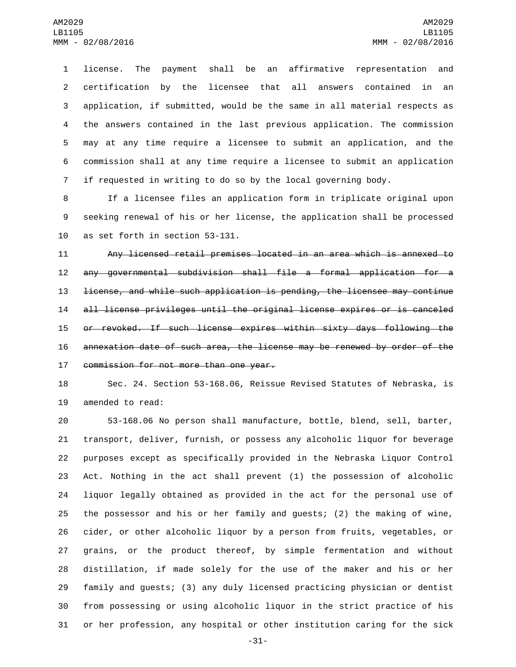license. The payment shall be an affirmative representation and certification by the licensee that all answers contained in an application, if submitted, would be the same in all material respects as the answers contained in the last previous application. The commission may at any time require a licensee to submit an application, and the commission shall at any time require a licensee to submit an application if requested in writing to do so by the local governing body.

 If a licensee files an application form in triplicate original upon seeking renewal of his or her license, the application shall be processed 10 as set forth in section 53-131.

 Any licensed retail premises located in an area which is annexed to any governmental subdivision shall file a formal application for a license, and while such application is pending, the licensee may continue all license privileges until the original license expires or is canceled or revoked. If such license expires within sixty days following the annexation date of such area, the license may be renewed by order of the 17 commission for not more than one year.

 Sec. 24. Section 53-168.06, Reissue Revised Statutes of Nebraska, is 19 amended to read:

 53-168.06 No person shall manufacture, bottle, blend, sell, barter, transport, deliver, furnish, or possess any alcoholic liquor for beverage purposes except as specifically provided in the Nebraska Liquor Control Act. Nothing in the act shall prevent (1) the possession of alcoholic liquor legally obtained as provided in the act for the personal use of the possessor and his or her family and guests; (2) the making of wine, cider, or other alcoholic liquor by a person from fruits, vegetables, or grains, or the product thereof, by simple fermentation and without distillation, if made solely for the use of the maker and his or her family and guests; (3) any duly licensed practicing physician or dentist from possessing or using alcoholic liquor in the strict practice of his or her profession, any hospital or other institution caring for the sick

-31-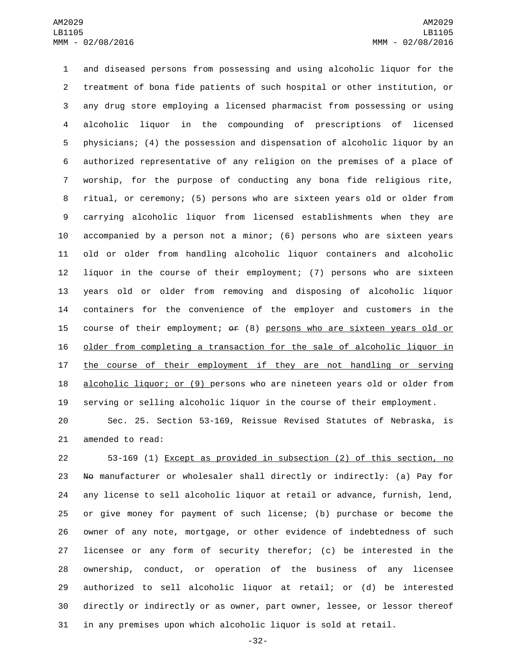and diseased persons from possessing and using alcoholic liquor for the treatment of bona fide patients of such hospital or other institution, or any drug store employing a licensed pharmacist from possessing or using alcoholic liquor in the compounding of prescriptions of licensed physicians; (4) the possession and dispensation of alcoholic liquor by an authorized representative of any religion on the premises of a place of worship, for the purpose of conducting any bona fide religious rite, ritual, or ceremony; (5) persons who are sixteen years old or older from carrying alcoholic liquor from licensed establishments when they are accompanied by a person not a minor; (6) persons who are sixteen years old or older from handling alcoholic liquor containers and alcoholic liquor in the course of their employment; (7) persons who are sixteen years old or older from removing and disposing of alcoholic liquor containers for the convenience of the employer and customers in the 15 course of their employment;  $\theta$  (8) persons who are sixteen years old or older from completing a transaction for the sale of alcoholic liquor in the course of their employment if they are not handling or serving 18 alcoholic liquor; or (9) persons who are nineteen years old or older from serving or selling alcoholic liquor in the course of their employment.

 Sec. 25. Section 53-169, Reissue Revised Statutes of Nebraska, is 21 amended to read:

 53-169 (1) Except as provided in subsection (2) of this section, no 23 No manufacturer or wholesaler shall directly or indirectly: (a) Pay for any license to sell alcoholic liquor at retail or advance, furnish, lend, or give money for payment of such license; (b) purchase or become the owner of any note, mortgage, or other evidence of indebtedness of such licensee or any form of security therefor; (c) be interested in the ownership, conduct, or operation of the business of any licensee authorized to sell alcoholic liquor at retail; or (d) be interested directly or indirectly or as owner, part owner, lessee, or lessor thereof in any premises upon which alcoholic liquor is sold at retail.

-32-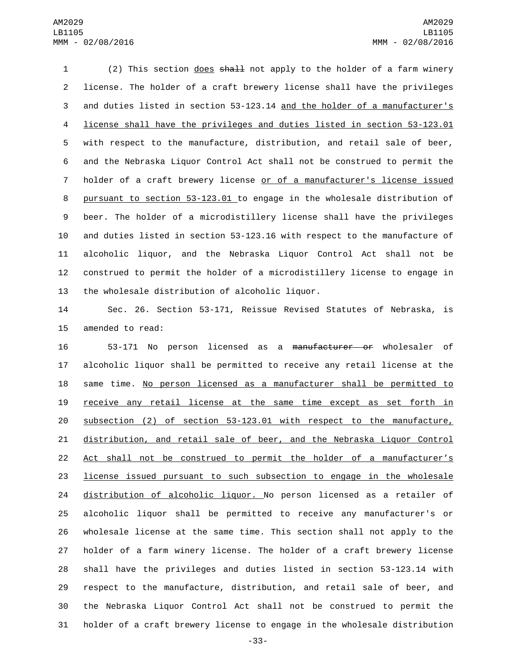(2) This section does shall not apply to the holder of a farm winery license. The holder of a craft brewery license shall have the privileges and duties listed in section 53-123.14 and the holder of a manufacturer's license shall have the privileges and duties listed in section 53-123.01 with respect to the manufacture, distribution, and retail sale of beer, and the Nebraska Liquor Control Act shall not be construed to permit the holder of a craft brewery license or of a manufacturer's license issued pursuant to section 53-123.01 to engage in the wholesale distribution of beer. The holder of a microdistillery license shall have the privileges and duties listed in section 53-123.16 with respect to the manufacture of alcoholic liquor, and the Nebraska Liquor Control Act shall not be construed to permit the holder of a microdistillery license to engage in 13 the wholesale distribution of alcoholic liquor.

 Sec. 26. Section 53-171, Reissue Revised Statutes of Nebraska, is 15 amended to read:

 53-171 No person licensed as a manufacturer or wholesaler of alcoholic liquor shall be permitted to receive any retail license at the 18 same time. No person licensed as a manufacturer shall be permitted to receive any retail license at the same time except as set forth in subsection (2) of section 53-123.01 with respect to the manufacture, distribution, and retail sale of beer, and the Nebraska Liquor Control Act shall not be construed to permit the holder of a manufacturer's license issued pursuant to such subsection to engage in the wholesale distribution of alcoholic liquor. No person licensed as a retailer of alcoholic liquor shall be permitted to receive any manufacturer's or wholesale license at the same time. This section shall not apply to the holder of a farm winery license. The holder of a craft brewery license shall have the privileges and duties listed in section 53-123.14 with respect to the manufacture, distribution, and retail sale of beer, and the Nebraska Liquor Control Act shall not be construed to permit the holder of a craft brewery license to engage in the wholesale distribution

-33-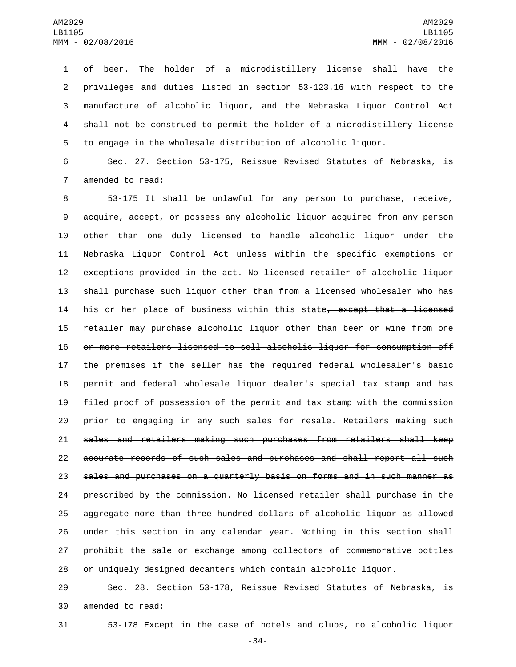of beer. The holder of a microdistillery license shall have the privileges and duties listed in section 53-123.16 with respect to the manufacture of alcoholic liquor, and the Nebraska Liquor Control Act shall not be construed to permit the holder of a microdistillery license to engage in the wholesale distribution of alcoholic liquor.

 Sec. 27. Section 53-175, Reissue Revised Statutes of Nebraska, is 7 amended to read:

 53-175 It shall be unlawful for any person to purchase, receive, acquire, accept, or possess any alcoholic liquor acquired from any person other than one duly licensed to handle alcoholic liquor under the Nebraska Liquor Control Act unless within the specific exemptions or exceptions provided in the act. No licensed retailer of alcoholic liquor shall purchase such liquor other than from a licensed wholesaler who has 14 his or her place of business within this state, except that a licensed retailer may purchase alcoholic liquor other than beer or wine from one or more retailers licensed to sell alcoholic liquor for consumption off the premises if the seller has the required federal wholesaler's basic permit and federal wholesale liquor dealer's special tax stamp and has filed proof of possession of the permit and tax stamp with the commission prior to engaging in any such sales for resale. Retailers making such sales and retailers making such purchases from retailers shall keep accurate records of such sales and purchases and shall report all such sales and purchases on a quarterly basis on forms and in such manner as prescribed by the commission. No licensed retailer shall purchase in the aggregate more than three hundred dollars of alcoholic liquor as allowed 26 under this section in any calendar year. Nothing in this section shall prohibit the sale or exchange among collectors of commemorative bottles or uniquely designed decanters which contain alcoholic liquor.

 Sec. 28. Section 53-178, Reissue Revised Statutes of Nebraska, is 30 amended to read:

53-178 Except in the case of hotels and clubs, no alcoholic liquor

-34-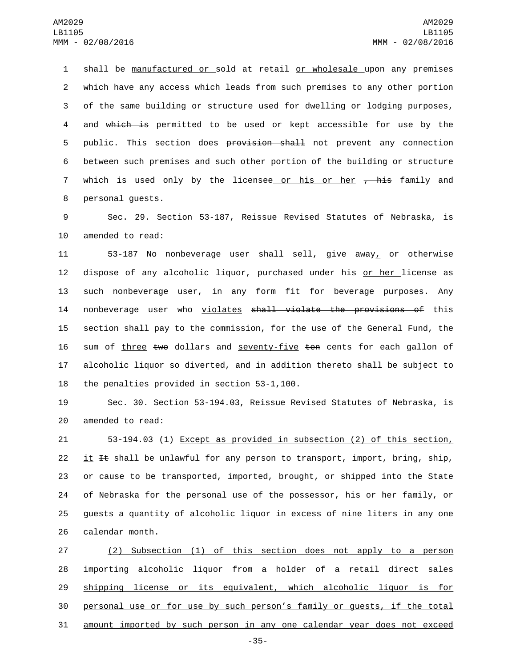1 shall be manufactured or sold at retail or wholesale upon any premises 2 which have any access which leads from such premises to any other portion 3 of the same building or structure used for dwelling or lodging purposes $_7$ 4 and which is permitted to be used or kept accessible for use by the 5 public. This section does provision shall not prevent any connection 6 between such premises and such other portion of the building or structure 7 which is used only by the licensee or his or her <del>, his</del> family and 8 personal guests.

9 Sec. 29. Section 53-187, Reissue Revised Statutes of Nebraska, is 10 amended to read:

11 53-187 No nonbeverage user shall sell, give away, or otherwise 12 dispose of any alcoholic liquor, purchased under his or her license as 13 such nonbeverage user, in any form fit for beverage purposes. Any 14 nonbeverage user who violates shall violate the provisions of this 15 section shall pay to the commission, for the use of the General Fund, the 16 sum of three two dollars and seventy-five ten cents for each gallon of 17 alcoholic liquor so diverted, and in addition thereto shall be subject to 18 the penalties provided in section  $53-1,100$ .

19 Sec. 30. Section 53-194.03, Reissue Revised Statutes of Nebraska, is 20 amended to read:

 53-194.03 (1) Except as provided in subsection (2) of this section, 22 it It shall be unlawful for any person to transport, import, bring, ship, or cause to be transported, imported, brought, or shipped into the State of Nebraska for the personal use of the possessor, his or her family, or guests a quantity of alcoholic liquor in excess of nine liters in any one 26 calendar month.

 (2) Subsection (1) of this section does not apply to a person importing alcoholic liquor from a holder of a retail direct sales shipping license or its equivalent, which alcoholic liquor is for personal use or for use by such person's family or guests, if the total amount imported by such person in any one calendar year does not exceed

-35-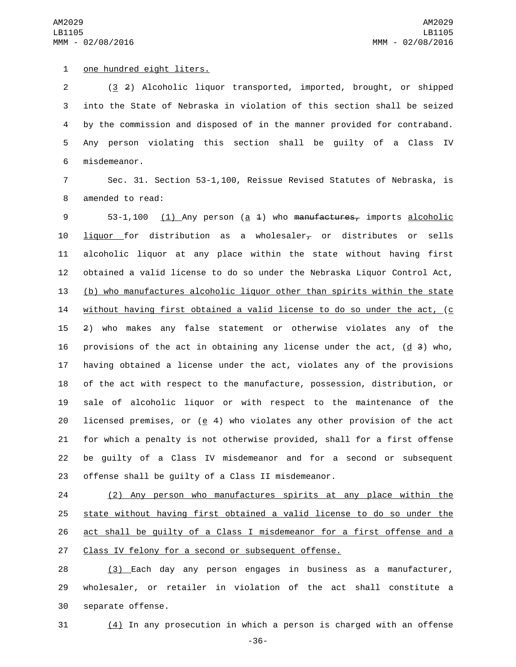1 one hundred eight liters.

 (3 2) Alcoholic liquor transported, imported, brought, or shipped into the State of Nebraska in violation of this section shall be seized by the commission and disposed of in the manner provided for contraband. Any person violating this section shall be guilty of a Class IV 6 misdemeanor.

7 Sec. 31. Section 53-1,100, Reissue Revised Statutes of Nebraska, is 8 amended to read:

9 53-1,100 (1) Any person (a 4) who manufactures, imports alcoholic 10 liquor for distribution as a wholesaler, or distributes or sells alcoholic liquor at any place within the state without having first obtained a valid license to do so under the Nebraska Liquor Control Act, (b) who manufactures alcoholic liquor other than spirits within the state without having first obtained a valid license to do so under the act, (c 2) who makes any false statement or otherwise violates any of the 16 provisions of the act in obtaining any license under the act,  $(d\ 3)$  who, having obtained a license under the act, violates any of the provisions of the act with respect to the manufacture, possession, distribution, or sale of alcoholic liquor or with respect to the maintenance of the 20 licensed premises, or ( $e$  4) who violates any other provision of the act for which a penalty is not otherwise provided, shall for a first offense be guilty of a Class IV misdemeanor and for a second or subsequent offense shall be guilty of a Class II misdemeanor.

 (2) Any person who manufactures spirits at any place within the state without having first obtained a valid license to do so under the act shall be guilty of a Class I misdemeanor for a first offense and a 27 Class IV felony for a second or subsequent offense.

28 (3) Each day any person engages in business as a manufacturer, 29 wholesaler, or retailer in violation of the act shall constitute a 30 separate offense.

31 (4) In any prosecution in which a person is charged with an offense

-36-